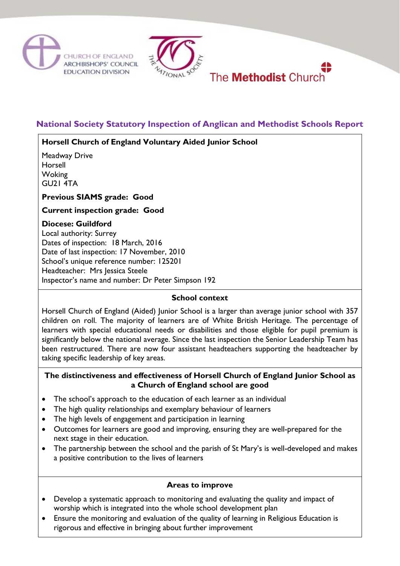





# **National Society Statutory Inspection of Anglican and Methodist Schools Report**

### **Horsell Church of England Voluntary Aided Junior School**

Meadway Drive Horsell **Woking** GU21 4TA

**Previous SIAMS grade: Good**

**Current inspection grade: Good**

# **Diocese: Guildford**

Local authority: Surrey Dates of inspection: 18 March, 2016 Date of last inspection: 17 November, 2010 School's unique reference number: 125201 Headteacher: Mrs Jessica Steele Inspector's name and number: Dr Peter Simpson 192

### **School context**

Horsell Church of England (Aided) Junior School is a larger than average junior school with 357 children on roll. The majority of learners are of White British Heritage. The percentage of learners with special educational needs or disabilities and those eligible for pupil premium is significantly below the national average. Since the last inspection the Senior Leadership Team has been restructured. There are now four assistant headteachers supporting the headteacher by taking specific leadership of key areas.

#### **The distinctiveness and effectiveness of Horsell Church of England Junior School as a Church of England school are good**

- The school's approach to the education of each learner as an individual
- The high quality relationships and exemplary behaviour of learners
- The high levels of engagement and participation in learning
- Outcomes for learners are good and improving, ensuring they are well-prepared for the next stage in their education.
- The partnership between the school and the parish of St Mary's is well-developed and makes a positive contribution to the lives of learners

# **Areas to improve**

- Develop a systematic approach to monitoring and evaluating the quality and impact of worship which is integrated into the whole school development plan
- Ensure the monitoring and evaluation of the quality of learning in Religious Education is rigorous and effective in bringing about further improvement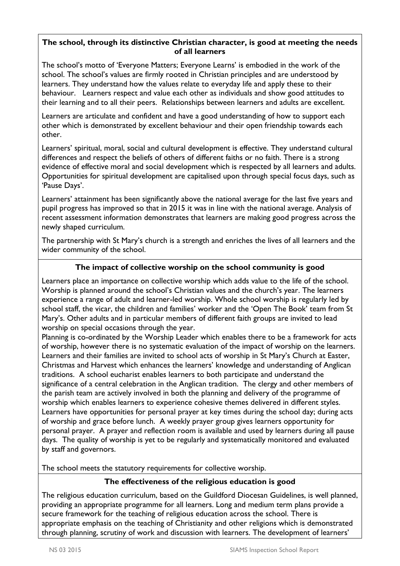#### **The school, through its distinctive Christian character, is good at meeting the needs of all learners**

The school's motto of 'Everyone Matters; Everyone Learns' is embodied in the work of the school. The school's values are firmly rooted in Christian principles and are understood by learners. They understand how the values relate to everyday life and apply these to their behaviour. Learners respect and value each other as individuals and show good attitudes to their learning and to all their peers. Relationships between learners and adults are excellent.

Learners are articulate and confident and have a good understanding of how to support each other which is demonstrated by excellent behaviour and their open friendship towards each other.

Learners' spiritual, moral, social and cultural development is effective. They understand cultural differences and respect the beliefs of others of different faiths or no faith. There is a strong evidence of effective moral and social development which is respected by all learners and adults. Opportunities for spiritual development are capitalised upon through special focus days, such as 'Pause Days'.

Learners' attainment has been significantly above the national average for the last five years and pupil progress has improved so that in 2015 it was in line with the national average. Analysis of recent assessment information demonstrates that learners are making good progress across the newly shaped curriculum.

The partnership with St Mary's church is a strength and enriches the lives of all learners and the wider community of the school.

### **The impact of collective worship on the school community is good**

Learners place an importance on collective worship which adds value to the life of the school. Worship is planned around the school's Christian values and the church's year. The learners experience a range of adult and learner-led worship. Whole school worship is regularly led by school staff, the vicar, the children and families' worker and the 'Open The Book' team from St Mary's. Other adults and in particular members of different faith groups are invited to lead worship on special occasions through the year.

Planning is co-ordinated by the Worship Leader which enables there to be a framework for acts of worship, however there is no systematic evaluation of the impact of worship on the learners. Learners and their families are invited to school acts of worship in St Mary's Church at Easter, Christmas and Harvest which enhances the learners' knowledge and understanding of Anglican traditions. A school eucharist enables learners to both participate and understand the significance of a central celebration in the Anglican tradition. The clergy and other members of the parish team are actively involved in both the planning and delivery of the programme of worship which enables learners to experience cohesive themes delivered in different styles. Learners have opportunities for personal prayer at key times during the school day; during acts of worship and grace before lunch. A weekly prayer group gives learners opportunity for personal prayer. A prayer and reflection room is available and used by learners during all pause days. The quality of worship is yet to be regularly and systematically monitored and evaluated by staff and governors.

The school meets the statutory requirements for collective worship.

### **The effectiveness of the religious education is good**

The religious education curriculum, based on the Guildford Diocesan Guidelines, is well planned, providing an appropriate programme for all learners. Long and medium term plans provide a secure framework for the teaching of religious education across the school. There is appropriate emphasis on the teaching of Christianity and other religions which is demonstrated through planning, scrutiny of work and discussion with learners. The development of learners'